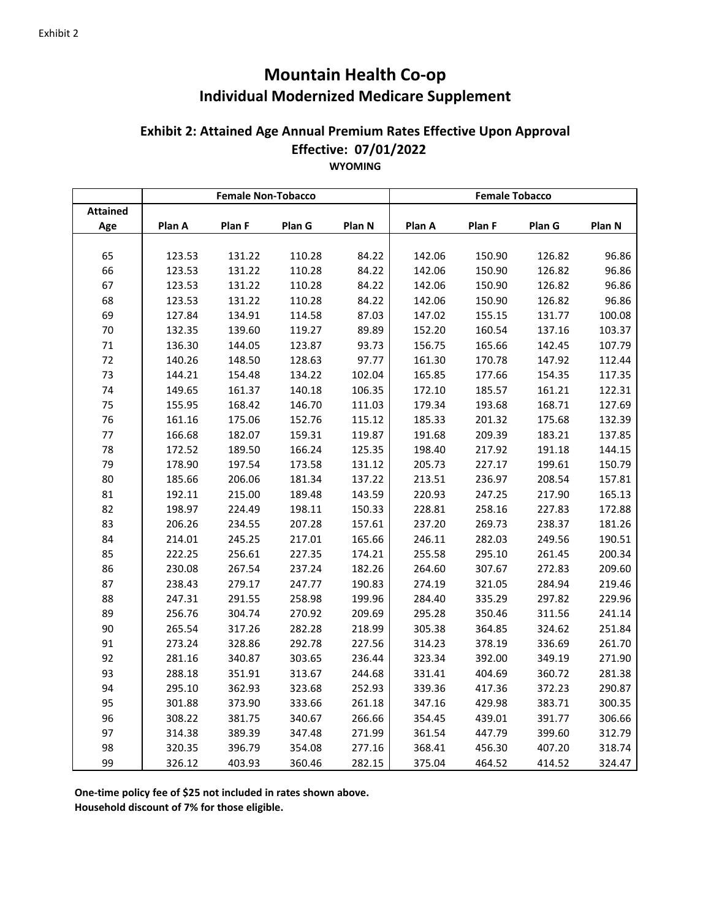## **Mountain Health Co‐op Individual Modernized Medicare Supplement**

## **Effective: 07/01/2022 Exhibit 2: Attained Age Annual Premium Rates Effective Upon Approval WYOMING**

|                 |        | <b>Female Non-Tobacco</b> |        |        | <b>Female Tobacco</b> |        |        |        |
|-----------------|--------|---------------------------|--------|--------|-----------------------|--------|--------|--------|
| <b>Attained</b> |        |                           |        |        |                       |        |        |        |
| Age             | Plan A | Plan F                    | Plan G | Plan N | Plan A                | Plan F | Plan G | Plan N |
|                 |        |                           |        |        |                       |        |        |        |
| 65              | 123.53 | 131.22                    | 110.28 | 84.22  | 142.06                | 150.90 | 126.82 | 96.86  |
| 66              | 123.53 | 131.22                    | 110.28 | 84.22  | 142.06                | 150.90 | 126.82 | 96.86  |
| 67              | 123.53 | 131.22                    | 110.28 | 84.22  | 142.06                | 150.90 | 126.82 | 96.86  |
| 68              | 123.53 | 131.22                    | 110.28 | 84.22  | 142.06                | 150.90 | 126.82 | 96.86  |
| 69              | 127.84 | 134.91                    | 114.58 | 87.03  | 147.02                | 155.15 | 131.77 | 100.08 |
| $70\,$          | 132.35 | 139.60                    | 119.27 | 89.89  | 152.20                | 160.54 | 137.16 | 103.37 |
| 71              | 136.30 | 144.05                    | 123.87 | 93.73  | 156.75                | 165.66 | 142.45 | 107.79 |
| 72              | 140.26 | 148.50                    | 128.63 | 97.77  | 161.30                | 170.78 | 147.92 | 112.44 |
| 73              | 144.21 | 154.48                    | 134.22 | 102.04 | 165.85                | 177.66 | 154.35 | 117.35 |
| 74              | 149.65 | 161.37                    | 140.18 | 106.35 | 172.10                | 185.57 | 161.21 | 122.31 |
| 75              | 155.95 | 168.42                    | 146.70 | 111.03 | 179.34                | 193.68 | 168.71 | 127.69 |
| 76              | 161.16 | 175.06                    | 152.76 | 115.12 | 185.33                | 201.32 | 175.68 | 132.39 |
| $77 \,$         | 166.68 | 182.07                    | 159.31 | 119.87 | 191.68                | 209.39 | 183.21 | 137.85 |
| 78              | 172.52 | 189.50                    | 166.24 | 125.35 | 198.40                | 217.92 | 191.18 | 144.15 |
| 79              | 178.90 | 197.54                    | 173.58 | 131.12 | 205.73                | 227.17 | 199.61 | 150.79 |
| 80              | 185.66 | 206.06                    | 181.34 | 137.22 | 213.51                | 236.97 | 208.54 | 157.81 |
| 81              | 192.11 | 215.00                    | 189.48 | 143.59 | 220.93                | 247.25 | 217.90 | 165.13 |
| 82              | 198.97 | 224.49                    | 198.11 | 150.33 | 228.81                | 258.16 | 227.83 | 172.88 |
| 83              | 206.26 | 234.55                    | 207.28 | 157.61 | 237.20                | 269.73 | 238.37 | 181.26 |
| 84              | 214.01 | 245.25                    | 217.01 | 165.66 | 246.11                | 282.03 | 249.56 | 190.51 |
| 85              | 222.25 | 256.61                    | 227.35 | 174.21 | 255.58                | 295.10 | 261.45 | 200.34 |
| 86              | 230.08 | 267.54                    | 237.24 | 182.26 | 264.60                | 307.67 | 272.83 | 209.60 |
| 87              | 238.43 | 279.17                    | 247.77 | 190.83 | 274.19                | 321.05 | 284.94 | 219.46 |
| 88              | 247.31 | 291.55                    | 258.98 | 199.96 | 284.40                | 335.29 | 297.82 | 229.96 |
| 89              | 256.76 | 304.74                    | 270.92 | 209.69 | 295.28                | 350.46 | 311.56 | 241.14 |
| 90              | 265.54 | 317.26                    | 282.28 | 218.99 | 305.38                | 364.85 | 324.62 | 251.84 |
| 91              | 273.24 | 328.86                    | 292.78 | 227.56 | 314.23                | 378.19 | 336.69 | 261.70 |
| 92              | 281.16 | 340.87                    | 303.65 | 236.44 | 323.34                | 392.00 | 349.19 | 271.90 |
| 93              | 288.18 | 351.91                    | 313.67 | 244.68 | 331.41                | 404.69 | 360.72 | 281.38 |
| 94              | 295.10 | 362.93                    | 323.68 | 252.93 | 339.36                | 417.36 | 372.23 | 290.87 |
| 95              | 301.88 | 373.90                    | 333.66 | 261.18 | 347.16                | 429.98 | 383.71 | 300.35 |
| 96              | 308.22 | 381.75                    | 340.67 | 266.66 | 354.45                | 439.01 | 391.77 | 306.66 |
| 97              | 314.38 | 389.39                    | 347.48 | 271.99 | 361.54                | 447.79 | 399.60 | 312.79 |
| 98              | 320.35 | 396.79                    | 354.08 | 277.16 | 368.41                | 456.30 | 407.20 | 318.74 |
| 99              | 326.12 | 403.93                    | 360.46 | 282.15 | 375.04                | 464.52 | 414.52 | 324.47 |

**One‐time policy fee of \$25 not included in rates shown above.**

**Household discount of 7% for those eligible.**